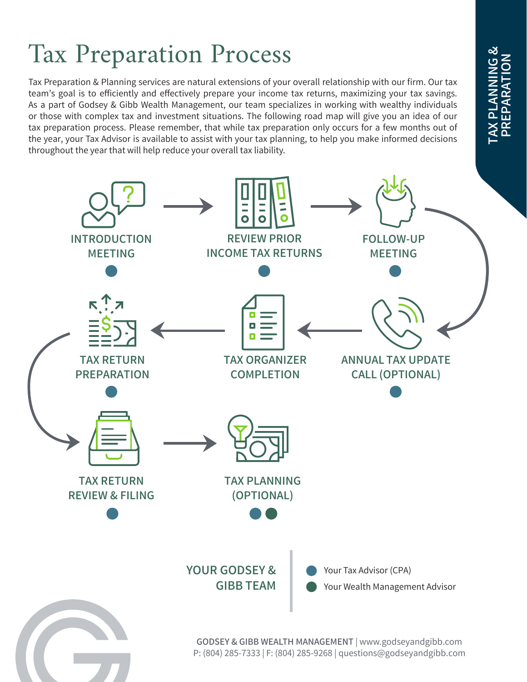# Tax Preparation Process

Tax Preparation & Planning services are natural extensions of your overall relationship with our firm. Our tax team's goal is to efficiently and effectively prepare your income tax returns, maximizing your tax savings. As a part of Godsey & Gibb Wealth Management, our team specializes in working with wealthy individuals or those with complex tax and investment situations. The following road map will give you an idea of our tax preparation process. Please remember, that while tax preparation only occurs for a few months out of the year, your Tax Advisor is available to assist with your tax planning, to help you make informed decisions throughout the year that will help reduce your overall tax liability.



**ANNING &** TAX PLANNING & PREPARATION